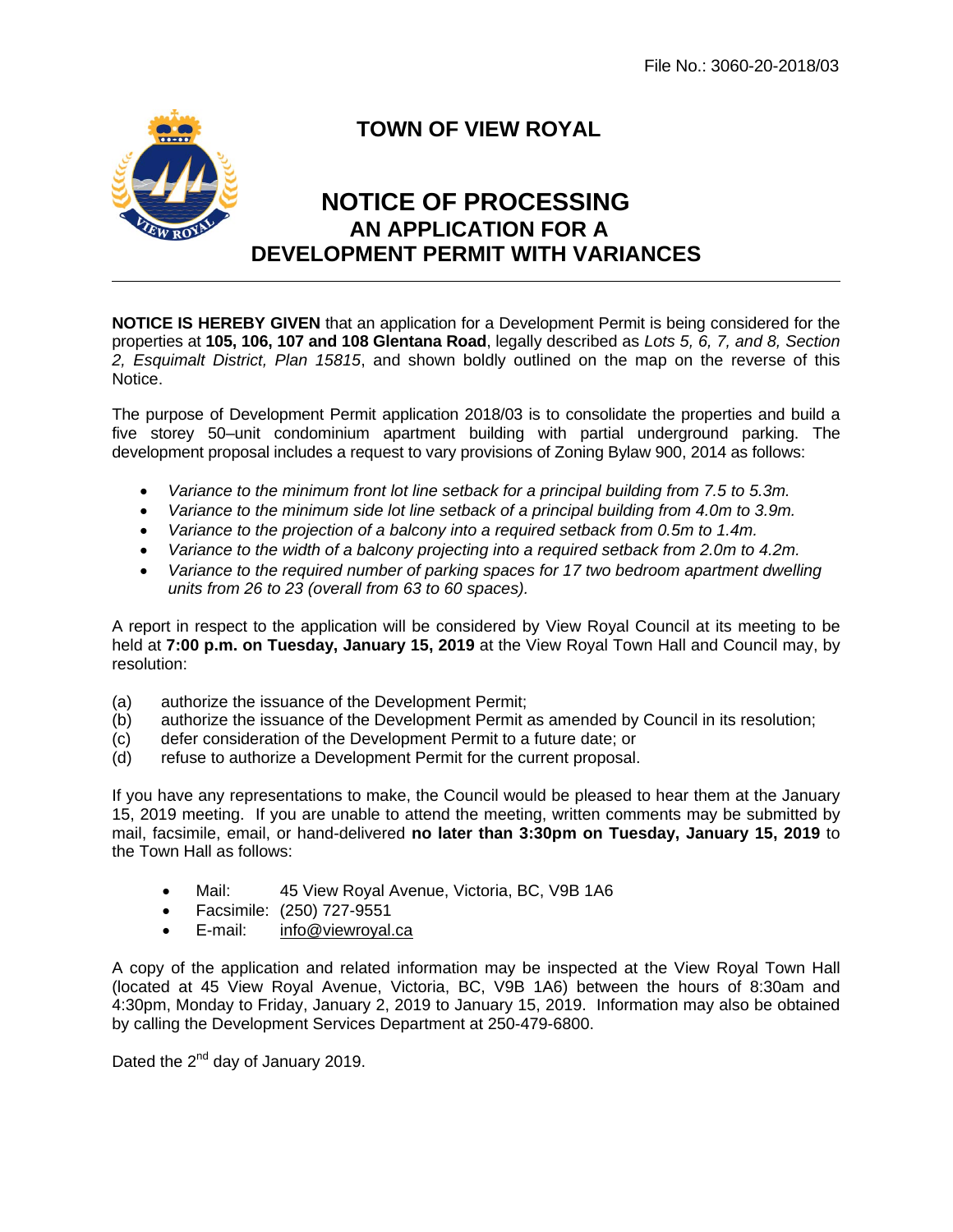

## **TOWN OF VIEW ROYAL**

## **NOTICE OF PROCESSING AN APPLICATION FOR A DEVELOPMENT PERMIT WITH VARIANCES**

**NOTICE IS HEREBY GIVEN** that an application for a Development Permit is being considered for the properties at **105, 106, 107 and 108 Glentana Road**, legally described as *Lots 5, 6, 7, and 8, Section 2, Esquimalt District, Plan 15815*, and shown boldly outlined on the map on the reverse of this Notice.

The purpose of Development Permit application 2018/03 is to consolidate the properties and build a five storey 50–unit condominium apartment building with partial underground parking. The development proposal includes a request to vary provisions of Zoning Bylaw 900, 2014 as follows:

- *Variance to the minimum front lot line setback for a principal building from 7.5 to 5.3m.*
- *Variance to the minimum side lot line setback of a principal building from 4.0m to 3.9m.*
- Variance to the projection of a balcony into a required setback from 0.5m to 1.4m.
- Variance to the width of a balcony projecting into a required setback from 2.0m to 4.2m.
- *Variance to the required number of parking spaces for 17 two bedroom apartment dwelling units from 26 to 23 (overall from 63 to 60 spaces).*

A report in respect to the application will be considered by View Royal Council at its meeting to be held at **7:00 p.m. on Tuesday, January 15, 2019** at the View Royal Town Hall and Council may, by resolution:

- (a) authorize the issuance of the Development Permit;
- (b) authorize the issuance of the Development Permit as amended by Council in its resolution;
- (c) defer consideration of the Development Permit to a future date; or
- (d) refuse to authorize a Development Permit for the current proposal.

If you have any representations to make, the Council would be pleased to hear them at the January 15, 2019 meeting. If you are unable to attend the meeting, written comments may be submitted by mail, facsimile, email, or hand-delivered **no later than 3:30pm on Tuesday, January 15, 2019** to the Town Hall as follows:

- Mail: 45 View Royal Avenue, Victoria, BC, V9B 1A6
- Facsimile: (250) 727-9551
- E-mail: info@viewroyal.ca

A copy of the application and related information may be inspected at the View Royal Town Hall (located at 45 View Royal Avenue, Victoria, BC, V9B 1A6) between the hours of 8:30am and 4:30pm, Monday to Friday, January 2, 2019 to January 15, 2019. Information may also be obtained by calling the Development Services Department at 250-479-6800.

Dated the  $2^{nd}$  day of January 2019.